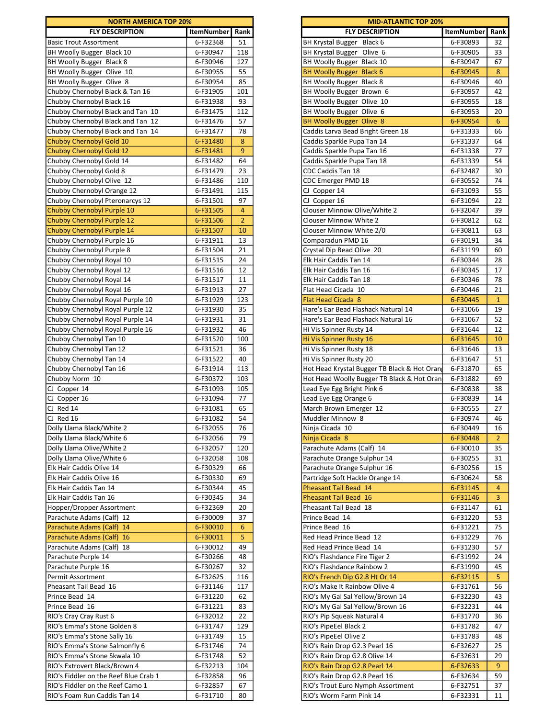| <b>NORTH AMERICA TOP 20%</b>          |                   |                |
|---------------------------------------|-------------------|----------------|
| <b>FLY DESCRIPTION</b>                | <b>ItemNumber</b> | Rank           |
| <b>Basic Trout Assortment</b>         | 6-F32368          | 51             |
| BH Woolly Bugger Black 10             | 6-F30947          | 118            |
| BH Woolly Bugger Black 8              | 6-F30946          | 127            |
| BH Woolly Bugger Olive 10             | 6-F30955          | 55             |
| BH Woolly Bugger Olive 8              | 6-F30954          | 85             |
| Chubby Chernobyl Black & Tan 16       | 6-F31905          | 101            |
| Chubby Chernobyl Black 16             | 6-F31938          | 93             |
| Chubby Chernobyl Black and Tan 10     | 6-F31475          | 112            |
| Chubby Chernobyl Black and Tan 12     | 6-F31476          | 57             |
| Chubby Chernobyl Black and Tan 14     | 6-F31477          | 78             |
|                                       |                   |                |
| Chubby Chernobyl Gold 10              | 6-F31480          | 8              |
| Chubby Chernobyl Gold 12              | 6-F31481          | 9              |
| Chubby Chernobyl Gold 14              | 6-F31482          | 64             |
| Chubby Chernobyl Gold 8               | 6-F31479          | 23             |
| Chubby Chernobyl Olive 12             | 6-F31486          | 110            |
| Chubby Chernobyl Orange 12            | 6-F31491          | 115            |
| Chubby Chernobyl Pteronarcys 12       | 6-F31501          | 97             |
| Chubby Chernobyl Purple 10            | 6-F31505          | $\overline{4}$ |
| Chubby Chernobyl Purple 12            |                   | $\overline{2}$ |
|                                       | 6-F31506          |                |
| Chubby Chernobyl Purple 14            | 6-F31507          | 10             |
| Chubby Chernobyl Purple 16            | 6-F31911          | 13             |
| Chubby Chernobyl Purple 8             | 6-F31504          | 21             |
| Chubby Chernobyl Royal 10             | 6-F31515          | 24             |
| Chubby Chernobyl Royal 12             | 6-F31516          | 12             |
| Chubby Chernobyl Royal 14             | 6-F31517          | 11             |
| Chubby Chernobyl Royal 16             | 6-F31913          | 27             |
|                                       |                   |                |
| Chubby Chernobyl Royal Purple 10      | 6-F31929          | 123            |
| Chubby Chernobyl Royal Purple 12      | 6-F31930          | 35             |
| Chubby Chernobyl Royal Purple 14      | 6-F31931          | 31             |
| Chubby Chernobyl Royal Purple 16      | 6-F31932          | 46             |
| Chubby Chernobyl Tan 10               | 6-F31520          | 100            |
| Chubby Chernobyl Tan 12               | 6-F31521          | 36             |
| Chubby Chernobyl Tan 14               | 6-F31522          | 40             |
|                                       |                   |                |
| Chubby Chernobyl Tan 16               | 6-F31914          | 113            |
| Chubby Norm 10                        | 6-F30372          | 103            |
| CJ Copper 14                          | 6-F31093          | 105            |
| CJ Copper 16                          | 6-F31094          | 77             |
| CJ Red 14                             | 6-F31081          | 65             |
| CJ Red 16                             | 6-F31082          | 54             |
| Dolly Llama Black/White 2             | 6-F32055          | 76             |
|                                       |                   |                |
| Dolly Llama Black/White 6             | 6-F32056          | 79             |
| Dolly Llama Olive/White 2             | 6-F32057          | 120            |
| Dolly Llama Olive/White 6             | 6-F32058          | 108            |
| Elk Hair Caddis Olive 14              | 6-F30329          | 66             |
| Elk Hair Caddis Olive 16              | 6-F30330          | 69             |
| Elk Hair Caddis Tan 14                | 6-F30344          | 45             |
| Elk Hair Caddis Tan 16                | 6-F30345          | 34             |
| Hopper/Dropper Assortment             | 6-F32369          | 20             |
|                                       |                   |                |
| Parachute Adams (Calf) 12             | 6-F30009          | 37             |
| Parachute Adams (Calf) 14             | 6-F30010          | 6              |
| Parachute Adams (Calf) 16             | 6-F30011          | 5              |
| Parachute Adams (Calf) 18             | 6-F30012          | 49             |
| Parachute Purple 14                   | 6-F30266          | 48             |
| Parachute Purple 16                   | 6-F30267          | 32             |
| Permit Assortment                     | 6-F32625          | 116            |
|                                       |                   |                |
| Pheasant Tail Bead 16                 | 6-F31146          | 117            |
| Prince Bead 14                        | 6-F31220          | 62             |
| Prince Bead 16                        | 6-F31221          | 83             |
| RIO's Cray Cray Rust 6                | 6-F32012          | 22             |
| RIO's Emma's Stone Golden 8           | 6-F31747          | 129            |
| RIO's Emma's Stone Sally 16           |                   |                |
|                                       | 6-F31749          | 15             |
| RIO's Emma's Stone Salmonfly 6        | 6-F31746          | 74             |
| RIO's Emma's Stone Skwala 10          | 6-F31748          | 52             |
| RIO's Extrovert Black/Brown 4         | 6-F32213          | 104            |
| RIO's Fiddler on the Reef Blue Crab 1 | 6-F32858          | 96             |
|                                       |                   |                |
| RIO's Fiddler on the Reef Camo 1      | 6-F32857          | 67             |
| RIO's Foam Run Caddis Tan 14          | 6-F31710          | 80             |

| <b>NORTH AMERICA TOP 20%</b>                                           |                      |                | <b>MID-ATLANTIC TOP 20%</b>                                     |                      |                                  |  |  |
|------------------------------------------------------------------------|----------------------|----------------|-----------------------------------------------------------------|----------------------|----------------------------------|--|--|
| <b>FLY DESCRIPTION</b>                                                 | <b>ItemNumber</b>    | Rank           | <b>FLY DESCRIPTION</b>                                          | <b>ItemNumber</b>    | Rank                             |  |  |
| <b>Basic Trout Assortment</b>                                          | 6-F32368             | 51             | BH Krystal Bugger Black 6                                       | 6-F30893             | 32                               |  |  |
| BH Woolly Bugger Black 10                                              | 6-F30947             | 118            | BH Krystal Bugger Olive 6                                       | 6-F30905             | 33                               |  |  |
| BH Woolly Bugger Black 8                                               | 6-F30946             | 127            | BH Woolly Bugger Black 10                                       | 6-F30947             | 67                               |  |  |
| BH Woolly Bugger Olive 10                                              | 6-F30955             | 55             | <b>BH Woolly Bugger Black 6</b>                                 | 6-F30945             | 8                                |  |  |
| BH Woolly Bugger Olive 8                                               | 6-F30954             | 85             | BH Woolly Bugger Black 8                                        | 6-F30946             | 40                               |  |  |
| Chubby Chernobyl Black & Tan 16                                        | 6-F31905             | 101            | BH Woolly Bugger Brown 6                                        | 6-F30957             | 42                               |  |  |
| Chubby Chernobyl Black 16                                              | 6-F31938             | 93             | BH Woolly Bugger Olive 10                                       | 6-F30955             | 18                               |  |  |
| Chubby Chernobyl Black and Tan 10                                      | 6-F31475             | 112            | BH Woolly Bugger Olive 6                                        | 6-F30953             | 20                               |  |  |
| Chubby Chernobyl Black and Tan 12                                      | 6-F31476             | 57             | BH Woolly Bugger Olive 8                                        | 6-F30954             | 6                                |  |  |
| Chubby Chernobyl Black and Tan 14<br>Chubby Chernobyl Gold 10          | 6-F31477<br>6-F31480 | 78<br>8        | Caddis Larva Bead Bright Green 18<br>Caddis Sparkle Pupa Tan 14 | 6-F31333<br>6-F31337 | 66<br>64                         |  |  |
| Chubby Chernobyl Gold 12                                               | 6-F31481             | 9              | Caddis Sparkle Pupa Tan 16                                      | 6-F31338             | 77                               |  |  |
| Chubby Chernobyl Gold 14                                               | 6-F31482             | 64             | Caddis Sparkle Pupa Tan 18                                      | 6-F31339             | 54                               |  |  |
| Chubby Chernobyl Gold 8                                                | 6-F31479             | 23             | CDC Caddis Tan 18                                               | 6-F32487             | 30                               |  |  |
| Chubby Chernobyl Olive 12                                              | 6-F31486             | 110            | CDC Emerger PMD 18                                              | 6-F30552             | 74                               |  |  |
| Chubby Chernobyl Orange 12                                             | 6-F31491             | 115            | CJ Copper 14                                                    | 6-F31093             | 55                               |  |  |
| Chubby Chernobyl Pteronarcys 12                                        | 6-F31501             | 97             | CJ Copper 16                                                    | 6-F31094             | 22                               |  |  |
| Chubby Chernobyl Purple 10                                             | 6-F31505             | $\overline{4}$ | Clouser Minnow Olive/White 2                                    | 6-F32047             | 39                               |  |  |
| Chubby Chernobyl Purple 12                                             | 6-F31506             | $\overline{2}$ | <b>Clouser Minnow White 2</b>                                   | 6-F30812             | 62                               |  |  |
| Chubby Chernobyl Purple 14                                             | 6-F31507             | 10             | Clouser Minnow White 2/0                                        | 6-F30811             | 63                               |  |  |
| Chubby Chernobyl Purple 16                                             | 6-F31911             | 13             | Comparadun PMD 16                                               | 6-F30191             | 34                               |  |  |
| Chubby Chernobyl Purple 8                                              | 6-F31504             | 21             | Crystal Dip Bead Olive 20                                       | 6-F31199             | 60                               |  |  |
| Chubby Chernobyl Royal 10                                              | 6-F31515             | 24             | Elk Hair Caddis Tan 14                                          | 6-F30344             | 28                               |  |  |
| Chubby Chernobyl Royal 12                                              | 6-F31516             | 12             | Elk Hair Caddis Tan 16                                          | 6-F30345             | 17                               |  |  |
| Chubby Chernobyl Royal 14                                              | 6-F31517             | 11             | Elk Hair Caddis Tan 18                                          | 6-F30346             | 78                               |  |  |
| Chubby Chernobyl Royal 16                                              | 6-F31913             | 27             | Flat Head Cicada 10                                             | 6-F30446             | 21                               |  |  |
| Chubby Chernobyl Royal Purple 10                                       | 6-F31929             | 123            | <b>Flat Head Cicada 8</b>                                       | 6-F30445             | $\mathbf{1}$                     |  |  |
| Chubby Chernobyl Royal Purple 12                                       | 6-F31930             | 35             | Hare's Ear Bead Flashack Natural 14                             | 6-F31066             | 19                               |  |  |
| Chubby Chernobyl Royal Purple 14                                       | 6-F31931             | 31<br>46       | Hare's Ear Bead Flashack Natural 16                             | 6-F31067             | 52<br>12                         |  |  |
| Chubby Chernobyl Royal Purple 16<br>Chubby Chernobyl Tan 10            | 6-F31932<br>6-F31520 | 100            | Hi Vis Spinner Rusty 14<br>Hi Vis Spinner Rusty 16              | 6-F31644<br>6-F31645 | 10                               |  |  |
| Chubby Chernobyl Tan 12                                                | 6-F31521             | 36             | Hi Vis Spinner Rusty 18                                         | 6-F31646             | 13                               |  |  |
| Chubby Chernobyl Tan 14                                                | 6-F31522             | 40             | Hi Vis Spinner Rusty 20                                         | 6-F31647             | 51                               |  |  |
| Chubby Chernobyl Tan 16                                                | 6-F31914             | 113            | Hot Head Krystal Bugger TB Black & Hot Oran                     | 6-F31870             | 65                               |  |  |
| Chubby Norm 10                                                         | 6-F30372             | 103            | Hot Head Woolly Bugger TB Black & Hot Oran                      | 6-F31882             | 69                               |  |  |
| CJ Copper 14                                                           | 6-F31093             | 105            | Lead Eye Egg Bright Pink 6                                      | 6-F30838             | 38                               |  |  |
| CJ Copper 16                                                           | 6-F31094             | 77             | Lead Eye Egg Orange 6                                           | 6-F30839             | 14                               |  |  |
| CJ Red 14                                                              | 6-F31081             | 65             | March Brown Emerger 12                                          | 6-F30555             | 27                               |  |  |
| CJ Red 16                                                              | 6-F31082             | 54             | Muddler Minnow 8                                                | 6-F30974             | 46                               |  |  |
| Dolly Llama Black/White 2                                              | 6-F32055             | 76             | Ninja Cicada 10                                                 | 6-F30449             | 16                               |  |  |
| Dolly Llama Black/White 6                                              | 6-F32056             | 79             | Ninja Cicada 8                                                  | 6-F30448             | 2 <sup>2</sup>                   |  |  |
| Dolly Llama Olive/White 2                                              | 6-F32057             | 120            | Parachute Adams (Calf) 14                                       | 6-F30010             | 35                               |  |  |
| Dolly Llama Olive/White 6                                              | 6-F32058             | 108            | Parachute Orange Sulphur 14                                     | 6-F30255             | 31                               |  |  |
| Elk Hair Caddis Olive 14                                               | 6-F30329             | 66             | Parachute Orange Sulphur 16                                     | 6-F30256             | 15                               |  |  |
| Elk Hair Caddis Olive 16                                               | 6-F30330             | 69             | Partridge Soft Hackle Orange 14                                 | 6-F30624             | 58                               |  |  |
| Elk Hair Caddis Tan 14<br>Elk Hair Caddis Tan 16                       | 6-F30344<br>6-F30345 | 45<br>34       | Pheasant Tail Bead 14<br>Pheasant Tail Bead 16                  | 6-F31145<br>6-F31146 | $\overline{4}$<br>$\overline{3}$ |  |  |
| Hopper/Dropper Assortment                                              | 6-F32369             | 20             | Pheasant Tail Bead 18                                           | 6-F31147             | 61                               |  |  |
| Parachute Adams (Calf) 12                                              | 6-F30009             | 37             | Prince Bead 14                                                  | 6-F31220             | 53                               |  |  |
| Parachute Adams (Calf) 14                                              | 6-F30010             | 6              | Prince Bead 16                                                  | 6-F31221             | 75                               |  |  |
| Parachute Adams (Calf) 16                                              | 6-F30011             | 5              | Red Head Prince Bead 12                                         | 6-F31229             | 76                               |  |  |
| Parachute Adams (Calf) 18                                              | 6-F30012             | 49             | Red Head Prince Bead 14                                         | 6-F31230             | 57                               |  |  |
| Parachute Purple 14                                                    | 6-F30266             | 48             | RIO's Flashdance Fire Tiger 2                                   | 6-F31992             | 24                               |  |  |
| Parachute Purple 16                                                    | 6-F30267             | 32             | RIO's Flashdance Rainbow 2                                      | 6-F31990             | 45                               |  |  |
| Permit Assortment                                                      | 6-F32625             | 116            | RIO's French Dip G2.8 Ht Or 14                                  | 6-F32115             | 5                                |  |  |
| Pheasant Tail Bead 16                                                  | 6-F31146             | 117            | RIO's Make It Rainbow Olive 4                                   | 6-F31761             | 56                               |  |  |
| Prince Bead 14                                                         | 6-F31220             | 62             | RIO's My Gal Sal Yellow/Brown 14                                | 6-F32230             | 43                               |  |  |
| Prince Bead 16                                                         | 6-F31221             | 83             | RIO's My Gal Sal Yellow/Brown 16                                | 6-F32231             | 44                               |  |  |
| RIO's Cray Cray Rust 6                                                 | 6-F32012             | 22             | RIO's Pip Squeak Natural 4                                      | 6-F31770             | 36                               |  |  |
| RIO's Emma's Stone Golden 8                                            | 6-F31747             | 129            | RIO's PipeEel Black 2                                           | 6-F31782             | 47                               |  |  |
| RIO's Emma's Stone Sally 16                                            | 6-F31749             | 15             | RIO's PipeEel Olive 2                                           | 6-F31783             | 48                               |  |  |
| RIO's Emma's Stone Salmonfly 6                                         | 6-F31746             | 74             | RIO's Rain Drop G2.3 Pearl 16                                   | 6-F32627             | 25                               |  |  |
| RIO's Emma's Stone Skwala 10                                           | 6-F31748             | 52             | RIO's Rain Drop G2.8 Olive 14                                   | 6-F32631             | 29                               |  |  |
| RIO's Extrovert Black/Brown 4<br>RIO's Fiddler on the Reef Blue Crab 1 | 6-F32213<br>6-F32858 | 104<br>96      | RIO's Rain Drop G2.8 Pearl 14<br>RIO's Rain Drop G2.8 Pearl 16  | 6-F32633<br>6-F32634 | 9<br>59                          |  |  |
| RIO's Fiddler on the Reef Camo 1                                       | 6-F32857             | 67             | RIO's Trout Euro Nymph Assortment                               | 6-F32751             | 37                               |  |  |
| RIO's Foam Run Caddis Tan 14                                           | 6-F31710             | 80             | RIO's Worm Farm Pink 14                                         | 6-F32331             | 11                               |  |  |
|                                                                        |                      |                |                                                                 |                      |                                  |  |  |